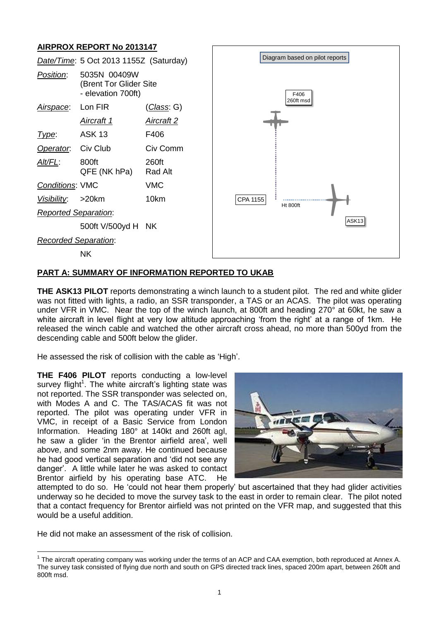# **AIRPROX REPORT No 2013147**



# **PART A: SUMMARY OF INFORMATION REPORTED TO UKAB**

**THE ASK13 PILOT** reports demonstrating a winch launch to a student pilot. The red and white glider was not fitted with lights, a radio, an SSR transponder, a TAS or an ACAS. The pilot was operating under VFR in VMC. Near the top of the winch launch, at 800ft and heading 270° at 60kt, he saw a white aircraft in level flight at very low altitude approaching 'from the right' at a range of 1km. He released the winch cable and watched the other aircraft cross ahead, no more than 500yd from the descending cable and 500ft below the glider.

He assessed the risk of collision with the cable as 'High'.

**THE F406 PILOT** reports conducting a low-level survey flight<sup>1</sup>. The white aircraft's lighting state was not reported. The SSR transponder was selected on, with Modes A and C. The TAS/ACAS fit was not reported. The pilot was operating under VFR in VMC, in receipt of a Basic Service from London Information. Heading 180° at 140kt and 260ft agl, he saw a glider 'in the Brentor airfield area', well above, and some 2nm away. He continued because he had good vertical separation and 'did not see any danger'. A little while later he was asked to contact Brentor airfield by his operating base ATC. He



attempted to do so. He 'could not hear them properly' but ascertained that they had glider activities underway so he decided to move the survey task to the east in order to remain clear. The pilot noted that a contact frequency for Brentor airfield was not printed on the VFR map, and suggested that this would be a useful addition.

He did not make an assessment of the risk of collision.

 $\overline{a}$ <sup>1</sup> The aircraft operating company was working under the terms of an ACP and CAA exemption, both reproduced at Annex A. The survey task consisted of flying due north and south on GPS directed track lines, spaced 200m apart, between 260ft and 800ft msd.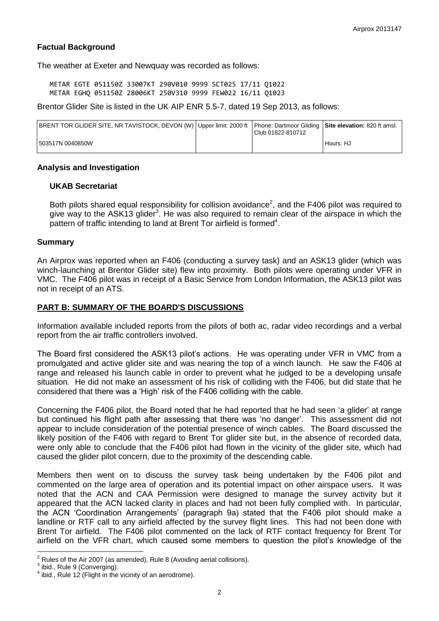## **Factual Background**

The weather at Exeter and Newquay was recorded as follows:

METAR EGTE 051150Z 33007KT 290V010 9999 SCT025 17/11 Q1022 METAR EGHQ 051150Z 28006KT 250V310 9999 FEW022 16/11 Q1023

Brentor Glider Site is listed in the UK AIP ENR 5.5-7, dated 19 Sep 2013, as follows:

| BRENT TOR GLIDER SITE, NR TAVISTOCK, DEVON (W)   Upper limit: 2000 ft   Phone: Dartmoor Gliding   Site elevation: 820 ft amsl. | Club 01822-810712 |           |
|--------------------------------------------------------------------------------------------------------------------------------|-------------------|-----------|
| 503517N 0040850W                                                                                                               |                   | Hours: HJ |

### **Analysis and Investigation**

#### **UKAB Secretariat**

Both pilots shared equal responsibility for collision avoidance<sup>2</sup>, and the F406 pilot was required to give way to the ASK13 glider<sup>3</sup>. He was also required to remain clear of the airspace in which the pattern of traffic intending to land at Brent Tor airfield is formed<sup>4</sup>.

### **Summary**

An Airprox was reported when an F406 (conducting a survey task) and an ASK13 glider (which was winch-launching at Brentor Glider site) flew into proximity. Both pilots were operating under VFR in VMC. The F406 pilot was in receipt of a Basic Service from London Information, the ASK13 pilot was not in receipt of an ATS.

## **PART B: SUMMARY OF THE BOARD'S DISCUSSIONS**

Information available included reports from the pilots of both ac, radar video recordings and a verbal report from the air traffic controllers involved.

The Board first considered the ASK13 pilot's actions. He was operating under VFR in VMC from a promulgated and active glider site and was nearing the top of a winch launch. He saw the F406 at range and released his launch cable in order to prevent what he judged to be a developing unsafe situation. He did not make an assessment of his risk of colliding with the F406, but did state that he considered that there was a 'High' risk of the F406 colliding with the cable.

Concerning the F406 pilot, the Board noted that he had reported that he had seen 'a glider' at range but continued his flight path after assessing that there was 'no danger'. This assessment did not appear to include consideration of the potential presence of winch cables. The Board discussed the likely position of the F406 with regard to Brent Tor glider site but, in the absence of recorded data, were only able to conclude that the F406 pilot had flown in the vicinity of the glider site, which had caused the glider pilot concern, due to the proximity of the descending cable.

Members then went on to discuss the survey task being undertaken by the F406 pilot and commented on the large area of operation and its potential impact on other airspace users. It was noted that the ACN and CAA Permission were designed to manage the survey activity but it appeared that the ACN lacked clarity in places and had not been fully complied with. In particular, the ACN 'Coordination Arrangements' (paragraph 9a) stated that the F406 pilot should make a landline or RTF call to any airfield affected by the survey flight lines. This had not been done with Brent Tor airfield. The F406 pilot commented on the lack of RTF contact frequency for Brent Tor airfield on the VFR chart, which caused some members to question the pilot's knowledge of the

 $\overline{a}$ 

 $2$  Rules of the Air 2007 (as amended), Rule 8 (Avoiding aerial collisions).

 $3$  ibid., Rule 9 (Converging).

 $4$  ibid., Rule 12 (Flight in the vicinity of an aerodrome).